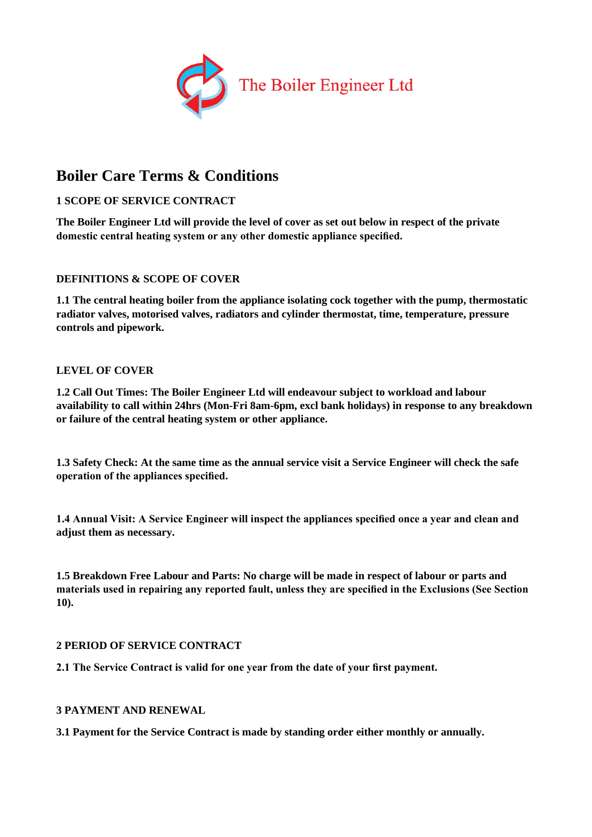

# **Boiler Care Terms & Conditions**

# **1 SCOPE OF SERVICE CONTRACT**

**The Boiler Engineer Ltd will provide the level of cover as set out below in respect of the private domestic central heating system or any other domestic appliance specified.**

## **DEFINITIONS & SCOPE OF COVER**

**1.1 The central heating boiler from the appliance isolating cock together with the pump, thermostatic radiator valves, motorised valves, radiators and cylinder thermostat, time, temperature, pressure controls and pipework.**

## **LEVEL OF COVER**

**1.2 Call Out Times: The Boiler Engineer Ltd will endeavour subject to workload and labour availability to call within 24hrs (Mon-Fri 8am-6pm, excl bank holidays) in response to any breakdown or failure of the central heating system or other appliance.**

**1.3 Safety Check: At the same time as the annual service visit a Service Engineer will check the safe operation of the appliances specified.**

**1.4 Annual Visit: A Service Engineer will inspect the appliances specified once a year and clean and adjust them as necessary.**

**1.5 Breakdown Free Labour and Parts: No charge will be made in respect of labour or parts and materials used in repairing any reported fault, unless they are specified in the Exclusions (See Section 10).**

## **2 PERIOD OF SERVICE CONTRACT**

**2.1 The Service Contract is valid for one year from the date of your first payment.**

## **3 PAYMENT AND RENEWAL**

**3.1 Payment for the Service Contract is made by standing order either monthly or annually.**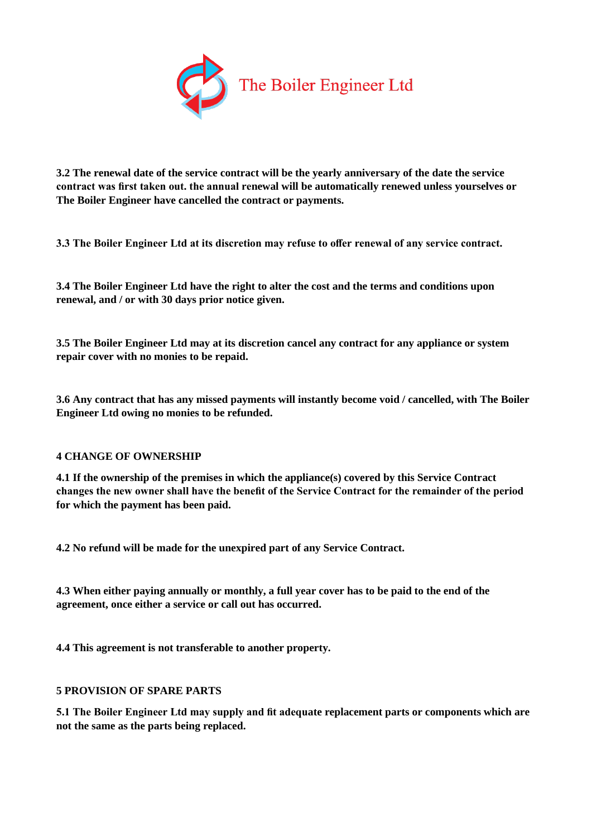

**3.2 The renewal date of the service contract will be the yearly anniversary of the date the service contract was first taken out. the annual renewal will be automatically renewed unless yourselves or The Boiler Engineer have cancelled the contract or payments.**

**3.3 The Boiler Engineer Ltd at its discretion may refuse to offer renewal of any service contract.**

**3.4 The Boiler Engineer Ltd have the right to alter the cost and the terms and conditions upon renewal, and / or with 30 days prior notice given.**

**3.5 The Boiler Engineer Ltd may at its discretion cancel any contract for any appliance or system repair cover with no monies to be repaid.**

**3.6 Any contract that has any missed payments will instantly become void / cancelled, with The Boiler Engineer Ltd owing no monies to be refunded.**

## **4 CHANGE OF OWNERSHIP**

**4.1 If the ownership of the premises in which the appliance(s) covered by this Service Contract changes the new owner shall have the benefit of the Service Contract for the remainder of the period for which the payment has been paid.**

**4.2 No refund will be made for the unexpired part of any Service Contract.**

**4.3 When either paying annually or monthly, a full year cover has to be paid to the end of the agreement, once either a service or call out has occurred.**

**4.4 This agreement is not transferable to another property.**

## **5 PROVISION OF SPARE PARTS**

**5.1 The Boiler Engineer Ltd may supply and fit adequate replacement parts or components which are not the same as the parts being replaced.**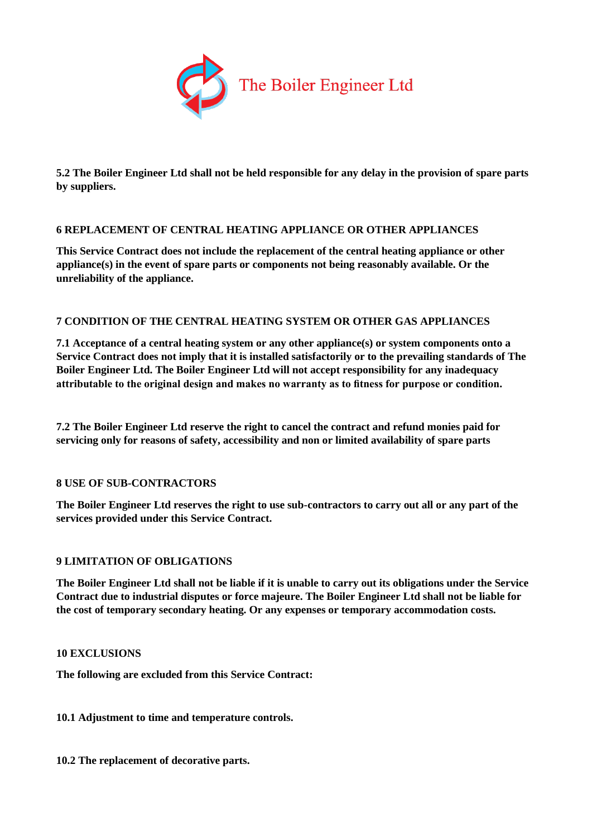

**5.2 The Boiler Engineer Ltd shall not be held responsible for any delay in the provision of spare parts by suppliers.**

## **6 REPLACEMENT OF CENTRAL HEATING APPLIANCE OR OTHER APPLIANCES**

**This Service Contract does not include the replacement of the central heating appliance or other appliance(s) in the event of spare parts or components not being reasonably available. Or the unreliability of the appliance.**

## **7 CONDITION OF THE CENTRAL HEATING SYSTEM OR OTHER GAS APPLIANCES**

**7.1 Acceptance of a central heating system or any other appliance(s) or system components onto a Service Contract does not imply that it is installed satisfactorily or to the prevailing standards of The Boiler Engineer Ltd. The Boiler Engineer Ltd will not accept responsibility for any inadequacy attributable to the original design and makes no warranty as to fitness for purpose or condition.**

**7.2 The Boiler Engineer Ltd reserve the right to cancel the contract and refund monies paid for servicing only for reasons of safety, accessibility and non or limited availability of spare parts**

## **8 USE OF SUB-CONTRACTORS**

**The Boiler Engineer Ltd reserves the right to use sub-contractors to carry out all or any part of the services provided under this Service Contract.**

## **9 LIMITATION OF OBLIGATIONS**

**The Boiler Engineer Ltd shall not be liable if it is unable to carry out its obligations under the Service Contract due to industrial disputes or force majeure. The Boiler Engineer Ltd shall not be liable for the cost of temporary secondary heating. Or any expenses or temporary accommodation costs.**

## **10 EXCLUSIONS**

**The following are excluded from this Service Contract:**

## **10.1 Adjustment to time and temperature controls.**

**10.2 The replacement of decorative parts.**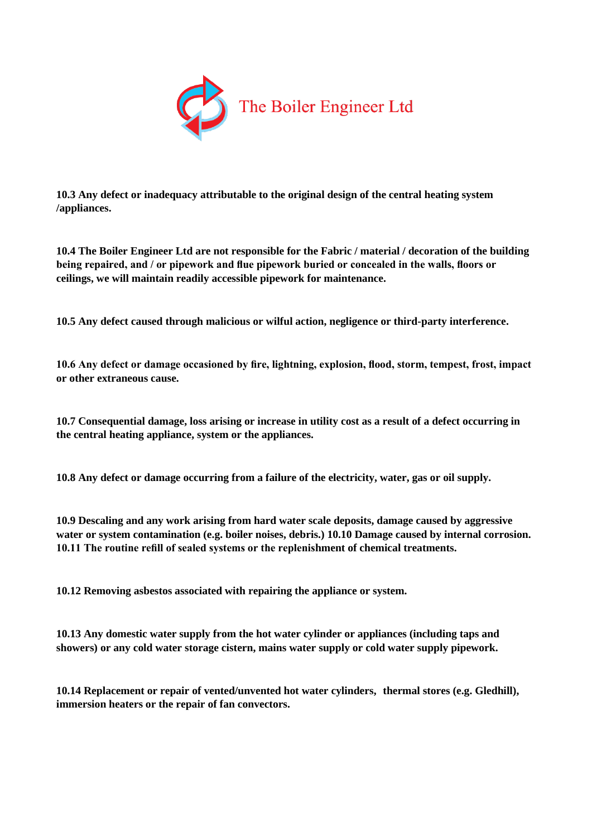

**10.3 Any defect or inadequacy attributable to the original design of the central heating system /appliances.**

**10.4 The Boiler Engineer Ltd are not responsible for the Fabric / material / decoration of the building being repaired, and / or pipework and flue pipework buried or concealed in the walls, floors or ceilings, we will maintain readily accessible pipework for maintenance.**

**10.5 Any defect caused through malicious or wilful action, negligence or third-party interference.**

**10.6 Any defect or damage occasioned by fire, lightning, explosion, flood, storm, tempest, frost, impact or other extraneous cause.**

**10.7 Consequential damage, loss arising or increase in utility cost as a result of a defect occurring in the central heating appliance, system or the appliances.**

**10.8 Any defect or damage occurring from a failure of the electricity, water, gas or oil supply.**

**10.9 Descaling and any work arising from hard water scale deposits, damage caused by aggressive water or system contamination (e.g. boiler noises, debris.) 10.10 Damage caused by internal corrosion. 10.11 The routine refill of sealed systems or the replenishment of chemical treatments.**

**10.12 Removing asbestos associated with repairing the appliance or system.**

**10.13 Any domestic water supply from the hot water cylinder or appliances (including taps and showers) or any cold water storage cistern, mains water supply or cold water supply pipework.**

**10.14 Replacement or repair of vented/unvented hot water cylinders, thermal stores (e.g. Gledhill), immersion heaters or the repair of fan convectors.**